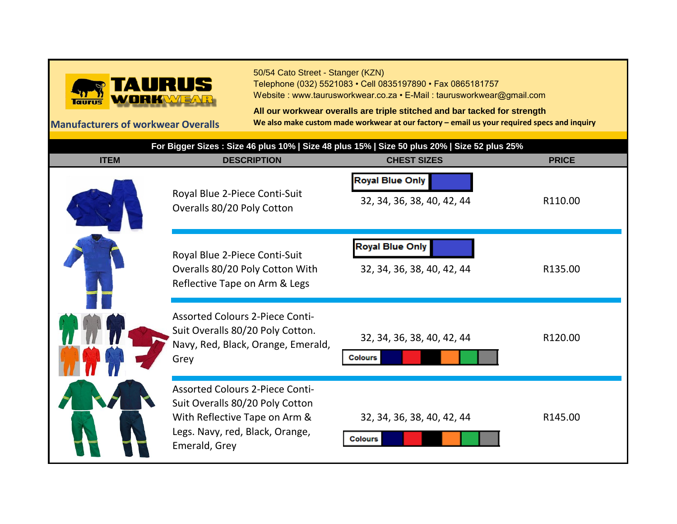

50/54 Cato Street - Stanger (KZN) Telephone (032) 5521083 • Cell 0835197890 • Fax 0865181757 Website : www.taurusworkwear.co.za • E-Mail : taurusworkwear@gmail.com

**All our workwear overalls are triple stitched and bar tacked for strength Manufacturers of workwear Overalls We also make custom made workwear at our factory – email us your required specs and inquiry**

| For Bigger Sizes : Size 46 plus 10%   Size 48 plus 15%   Size 50 plus 20%   Size 52 plus 25% |                                                                                                                                                                |                                                      |              |
|----------------------------------------------------------------------------------------------|----------------------------------------------------------------------------------------------------------------------------------------------------------------|------------------------------------------------------|--------------|
| <b>ITEM</b>                                                                                  | <b>DESCRIPTION</b>                                                                                                                                             | <b>CHEST SIZES</b>                                   | <b>PRICE</b> |
|                                                                                              | Royal Blue 2-Piece Conti-Suit<br>Overalls 80/20 Poly Cotton                                                                                                    | <b>Royal Blue Only</b><br>32, 34, 36, 38, 40, 42, 44 | R110.00      |
|                                                                                              | Royal Blue 2-Piece Conti-Suit<br>Overalls 80/20 Poly Cotton With<br>Reflective Tape on Arm & Legs                                                              | <b>Royal Blue Only</b><br>32, 34, 36, 38, 40, 42, 44 | R135.00      |
|                                                                                              | <b>Assorted Colours 2-Piece Conti-</b><br>Suit Overalls 80/20 Poly Cotton.<br>Navy, Red, Black, Orange, Emerald,<br>Grey                                       | 32, 34, 36, 38, 40, 42, 44<br><b>Colours</b>         | R120.00      |
|                                                                                              | <b>Assorted Colours 2-Piece Conti-</b><br>Suit Overalls 80/20 Poly Cotton<br>With Reflective Tape on Arm &<br>Legs. Navy, red, Black, Orange,<br>Emerald, Grey | 32, 34, 36, 38, 40, 42, 44<br><b>Colours</b>         | R145.00      |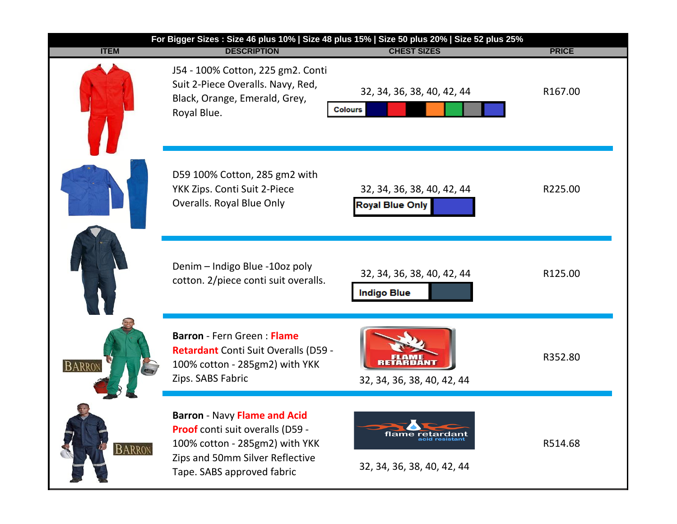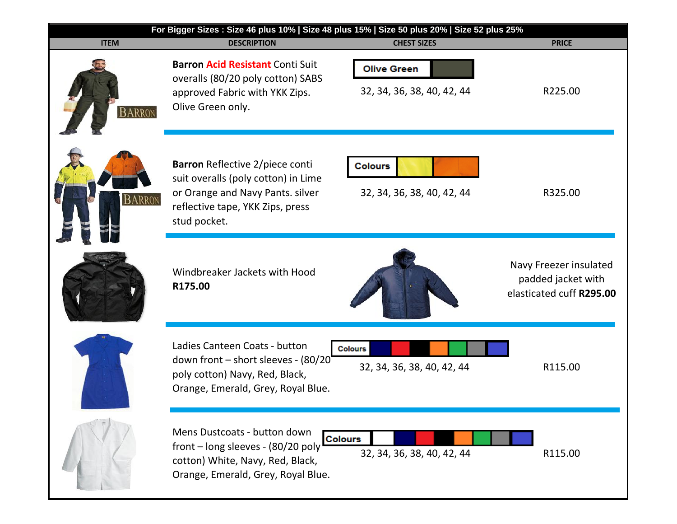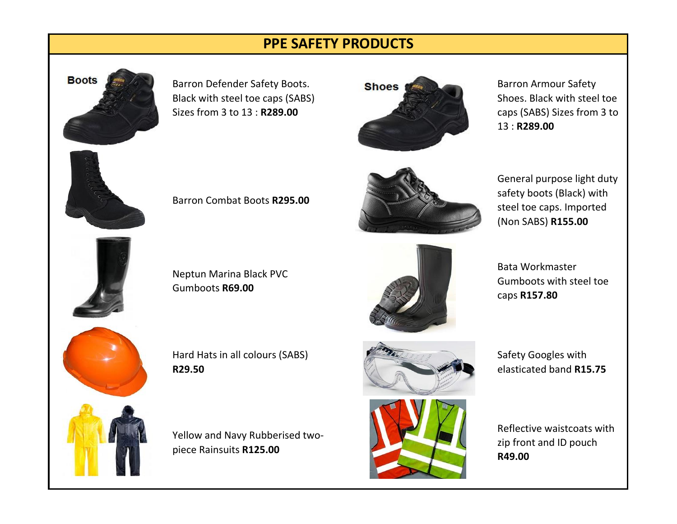## **PPE SAFETY PRODUCTS**



Barron Defender Safety Boots. Black with steel toe caps (SABS) Sizes from 3 to 13 : **R289.00**

Barron Combat Boots **R295.00**

Neptun Marina Black PVC

Gumboots **R69.00**

Yellow and Navy Rubberised two-

Hard Hats in all colours (SABS)

piece Rainsuits **R125.00**

**R29.50**



Barron Armour Safety Shoes. Black with steel toe caps (SABS) Sizes from 3 to 13 : **R289.00**



General purpose light duty safety boots (Black) with steel toe caps. Imported (Non SABS) **R155.00**

Bata Workmaster Gumboots with steel toe caps **R157.80**



Safety Googles with elasticated band **R15.75**

Reflective waistcoats with zip front and ID pouch **R49.00**